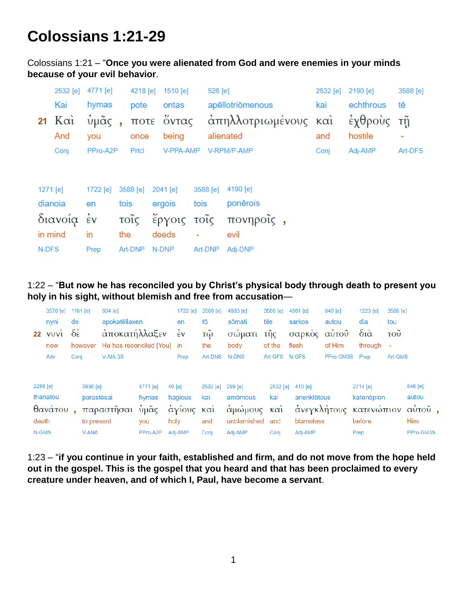## **Colossians 1:21-29**

Colossians 1:21 – "**Once you were alienated from God and were enemies in your minds because of your evil behavior**.

|          | 2532 [e]       | 4771 [e]           |                          | 4218 [e] | $1510$ [e]  |      | 526 [e]  |                      | 2532 [e] | 2190 [e]   | 3588 [e] |
|----------|----------------|--------------------|--------------------------|----------|-------------|------|----------|----------------------|----------|------------|----------|
|          | Kai            | hymas              |                          | pote     | ontas       |      |          | apēllotriōmenous     | kai      | echthrous  | tē       |
|          | 21 $K\alpha i$ | ὑμᾶς               | $\overline{\phantom{a}}$ |          | ποτε ὄντας  |      |          | άπηλλοτριωμένους καὶ |          | έχθροὺς τῆ |          |
|          | And            | you                |                          | once     | being       |      |          | alienated            | and      | hostile    | ۰        |
|          | Conj           | PPro-A2P           |                          | Prtcl    | V-PPA-AMP   |      |          | V-RPM/P-AMP          | Conj     | Adj-AMP    | Art-DFS  |
|          |                |                    |                          |          |             |      |          |                      |          |            |          |
|          |                |                    |                          |          |             |      |          |                      |          |            |          |
| 1271 [e] |                | 1722 [e]           |                          | 3588 [e] | $2041$ [e]  |      | 3588 [e] | 4190 [e]             |          |            |          |
|          | dianoia        | en                 | tois                     |          | ergois      | tois |          | ponērois             |          |            |          |
|          | διανοία        | $\dot{\epsilon}$ v |                          | τοῖς     | έργοις τοῖς |      |          | πονηροΐς,            |          |            |          |
|          | in mind        | in                 | the                      |          | deeds       |      |          | evil                 |          |            |          |
| N-DFS    |                | Prep               |                          | Art-DNP  | N-DNP       |      | Art-DNP  | Adj-DNP              |          |            |          |

1:22 – "**But now he has reconciled you by Christ's physical body through death to present you holy in his sight, without blemish and free from accusation**—

|          | 3570 [e] 1161 [e] |                         |              | 604 [e]                    |          | 1722 [e]           | 3588 [e]               | 4983 [e]    | 3588 [e]      | 4561 [e]         | 846 [e]   | 1223 [e]               | 3588 [e]                 |            |  |
|----------|-------------------|-------------------------|--------------|----------------------------|----------|--------------------|------------------------|-------------|---------------|------------------|-----------|------------------------|--------------------------|------------|--|
|          | nyni              | de                      |              | apokatēllaxen              |          | en                 | tō                     | sōmati      | tēs           | sarkos           | autou     | dia                    | tou                      |            |  |
|          | $22$ $VUVi$       | $\delta \dot{\epsilon}$ |              | αποκατήλλαξεν              |          | $\dot{\epsilon}$ v | τῷ                     | σώματι      | τῆς           | σαρκὸς αὐτοῦ     |           | διά                    | <b>TOU</b>               |            |  |
|          | now               |                         | however      | He has reconciled [You] in |          |                    | the                    | body        | of the        | flesh            | of Him    | through                | $\overline{\phantom{a}}$ |            |  |
|          | Adv               | Conj                    |              | $V-AIA-3S$                 |          | Prep               | Art-DNS                | N-DNS       | Art-GFS N-GFS |                  | PPro-GM3S | Prep                   | Art-GMS                  |            |  |
| 2288 [e] |                   |                         | 3936 [e]     |                            | 4771 [e] | $40$ [e]           | 2532 [e]               | 299 [e]     |               | 2532 [e] 410 [e] |           | 2714 [e]               |                          | 846 [e]    |  |
|          | thanatou          |                         | parastēsai   |                            | hymas    | hagious            | kai                    | amomous     | kai           | anenklētous      |           | katenopion             |                          | autou      |  |
|          | θανάτου           |                         |              | παραστῆσαι                 | ὑμᾶς     | αγίους             | $K\alpha$ <sub>1</sub> | άμώμους και |               |                  |           | άνεγκλήτους κατενώπιον |                          | αὐτοῦ,     |  |
| death    |                   |                         | to present   |                            | you      | holy               | and                    | unblemished | and           | blameless        |           | before                 |                          | <b>Him</b> |  |
| N-GMS    |                   |                         | <b>V-ANA</b> |                            | PPro-A2P | Adj-AMP            | Conj                   | Adj-AMP     | Conj          | Adj-AMP          |           | Prep                   |                          | PPro-GM3S  |  |

1:23 – "**if you continue in your faith, established and firm, and do not move from the hope held out in the gospel. This is the gospel that you heard and that has been proclaimed to every creature under heaven, and of which I, Paul, have become a servant**.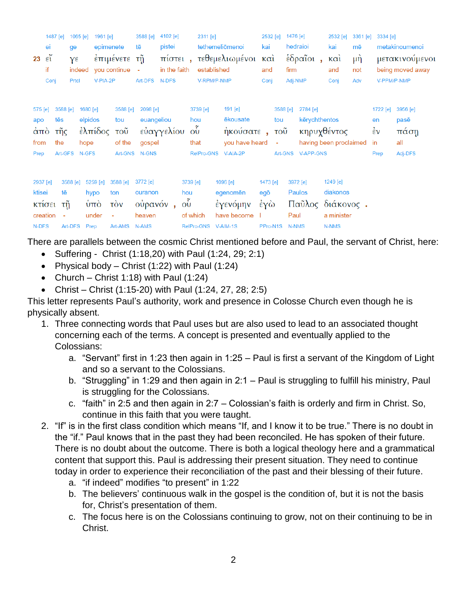| 23                                                  | 1487 [e]<br>ei<br>$\epsilon''$<br>if<br>Conj | ge<br>$Y^{\epsilon}$<br>Prtcl            | 1065 [e]<br>indeed                   | 1961 [e]<br>epimenete<br>V-PIA-2P           | έπιμένετε<br>you continue                                 | 3588 [e]<br>tē<br>τῆ<br>$\sim$<br>Art-DFS N-DFS    | 4102 [e]<br>pistei<br>πίστει,<br>in the faith |                                                                            | 2311 [e]<br>established<br>V-RPM/P-NMP | tethemeliōmenoi<br>τεθεμελιωμένοι                                     | 2532 [e]<br>kai<br>$\kappa$ $\alpha$ <sup><math>\alpha</math></sup><br>and<br>Conj | firm                                                           | 1476 [e]<br>hedraioi<br>έδραΐοι,<br>Adj-NMP             | 2532 [e]<br>kai<br>$K\alpha i$<br>and<br>Conj | 3361 [e]<br>mē<br>μή<br>not<br>Adv | 3334 [e]<br>V-PPM/P-NMP                               | metakinoumenoi<br>μετακινούμενοι<br>being moved away |
|-----------------------------------------------------|----------------------------------------------|------------------------------------------|--------------------------------------|---------------------------------------------|-----------------------------------------------------------|----------------------------------------------------|-----------------------------------------------|----------------------------------------------------------------------------|----------------------------------------|-----------------------------------------------------------------------|------------------------------------------------------------------------------------|----------------------------------------------------------------|---------------------------------------------------------|-----------------------------------------------|------------------------------------|-------------------------------------------------------|------------------------------------------------------|
| 575 [e]<br>apo<br>$\dot{\alpha}$ πò<br>from<br>Prep |                                              | 3588 [e]<br>tēs<br>τῆς<br>the<br>Art-GFS | 1680 [e]<br>elpidos<br>hope<br>N-GFS | ἐλπίδος                                     | 3588 [e]<br>tou<br>$\overline{\mathrm{TOU}}$<br>of the    | 2098 [e]<br>euangeliou<br>gospel<br>Art-GNS N-GNS  | εὐαγγελίου                                    | 3739 [e]<br>hou<br>$\tilde{\mathrm{O}}$<br>that<br><b>RelPro-GNS</b>       |                                        | 191 [e]<br><b>ēkousate</b><br>ηκούσατε,<br>you have heard<br>V-AIA-2P |                                                                                    | 3588 [e]<br>tou<br>$\overline{\mathrm{TOU}}$<br>$\blacksquare$ | 2784 [e]<br>kērychthentos<br>Art-GNS V-APP-GNS          | κηρυχθέντος<br>having been proclaimed         |                                    | $1722$ [e]<br>en<br>$\dot{\epsilon}$ v<br>in.<br>Prep | 3956 [e]<br>pasē<br>πάση<br>all<br>Adj-DFS           |
| 2937 [e]<br>ktisei<br>N-DFS                         | κτίσει τη<br>creation                        | 3588 [e]<br>tē<br>÷,<br>Art-DFS          | Prep                                 | 5259 [e]<br>hypo<br>$\dot{\nu}$ πο<br>under | 3588 [e]<br>ton<br>$\overrightarrow{cov}$<br>÷<br>Art-AMS | 3772 [e]<br>ouranon<br>ούρανόν,<br>heaven<br>N-AMS |                                               | 3739 [e]<br>hou<br>$\tilde{\mathrm{O}}$<br>of which<br>RelPro-GNS V-AIM-1S |                                        | 1096 [e]<br>egenomēn<br>έγενόμην<br>have become                       | 1473 [e]<br>egō<br>έγὼ<br>PPro-N1S                                                 |                                                                | 3972 [e]<br>Paulos<br>Παῦλος διάκονος.<br>Paul<br>N-NMS | 1249 [e]<br>diakonos<br>a minister<br>N-NMS   |                                    |                                                       |                                                      |

There are parallels between the cosmic Christ mentioned before and Paul, the servant of Christ, here:

- Suffering Christ (1:18,20) with Paul (1:24, 29; 2:1)
- Physical body Christ  $(1:22)$  with Paul  $(1:24)$
- Church Christ 1:18) with Paul  $(1:24)$
- Christ Christ (1:15-20) with Paul (1:24, 27, 28; 2:5)

This letter represents Paul's authority, work and presence in Colosse Church even though he is physically absent.

- 1. Three connecting words that Paul uses but are also used to lead to an associated thought concerning each of the terms. A concept is presented and eventually applied to the Colossians:
	- a. "Servant" first in 1:23 then again in 1:25 Paul is first a servant of the Kingdom of Light and so a servant to the Colossians.
	- b. "Struggling" in 1:29 and then again in 2:1 Paul is struggling to fulfill his ministry, Paul is struggling for the Colossians.
	- c. "faith" in 2:5 and then again in 2:7 Colossian's faith is orderly and firm in Christ. So, continue in this faith that you were taught.
- 2. "If" is in the first class condition which means "If, and I know it to be true." There is no doubt in the "if." Paul knows that in the past they had been reconciled. He has spoken of their future. There is no doubt about the outcome. There is both a logical theology here and a grammatical content that support this. Paul is addressing their present situation. They need to continue today in order to experience their reconciliation of the past and their blessing of their future.
	- a. "if indeed" modifies "to present" in 1:22
	- b. The believers' continuous walk in the gospel is the condition of, but it is not the basis for, Christ's presentation of them.
	- c. The focus here is on the Colossians continuing to grow, not on their continuing to be in Christ.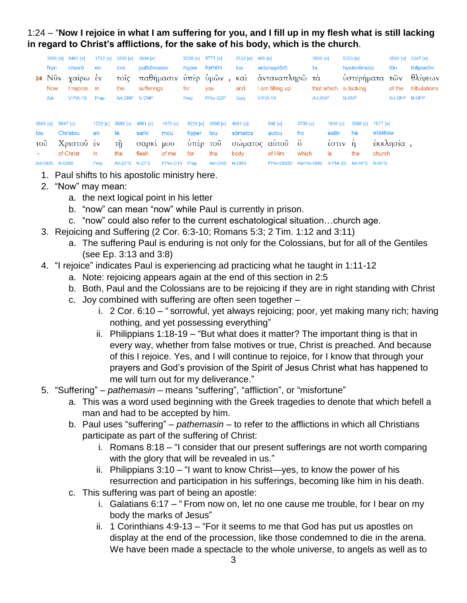1:24 – "**Now I rejoice in what I am suffering for you, and I fill up in my flesh what is still lacking in regard to Christ's afflictions, for the sake of his body, which is the church**.

|                           |                  | 3568 [e] 5463 [e] | 1722 [e] | 3588 [e]                   | 3804 [e]      |               | 5228 [e] 4771 [e] |                           | 2532 [e] | 466 [e] |                                             |          | 3588 [e]   |                                              | $5303$ [e]  |          |               | 3588 [e] 2347 [e] |
|---------------------------|------------------|-------------------|----------|----------------------------|---------------|---------------|-------------------|---------------------------|----------|---------|---------------------------------------------|----------|------------|----------------------------------------------|-------------|----------|---------------|-------------------|
|                           | <b>Nvn</b>       | chairō            | en       | tois                       | pathēmasin    |               | hyper             | hymōn                     | kai      |         | antanaplērō                                 |          | ta         |                                              | hysterēmata |          | tōn           | thlipseon         |
|                           | 24 $N\tilde{v}v$ | γαίρω ἐν          |          | τοῖς                       |               |               |                   | παθήμασιν ὑπὲρ ὑμῶν , καὶ |          |         | άνταναπληρῶ τὰ                              |          |            |                                              | ὑστερήματα  |          | τῶν           | θλίψεων           |
|                           | <b>Now</b>       | I rejoice         | in       | the                        | sufferings    |               | for               | you                       | and      |         | I am filling up                             |          | that which |                                              | is lacking  |          | of the        | tribulations      |
|                           | Adv              | $V-PIA-1S$        | Prep     |                            | Art-DNP N-DNP |               | Prep              | PPro-G2P                  | Conj     |         | $V-PIA-1S$                                  |          | Art-ANP    |                                              | N-ANP       |          | Art-GFP N-GFP |                   |
|                           |                  |                   |          |                            |               |               |                   |                           |          |         |                                             |          |            |                                              |             |          |               |                   |
|                           | 3588 [e]         | 5547 [e]          |          | 1722 [e] 3588 [e] 4561 [e] |               | 1473 [e]      |                   | 5228 [e] 3588 [e]         | 4983 [e] |         | 846 [e]                                     | 3739 [e] |            | 1510 [e]                                     | 3588 [e]    | 1577 [e] |               |                   |
| tou                       |                  | Christou          | en       | tē                         | sarki         | mou           | hyper             | tou                       | sōmatos  |         | autou                                       | ho       |            | estin                                        | hē          | ekklēsia |               |                   |
| $\overline{\mathrm{TOU}}$ |                  | Χριστοῦ ἐν        |          | $\tau \tilde{\eta}$        | σαρκί μου     |               | υπέρ τοῦ          |                           |          |         | σώματος αὐτοῦ ὅ                             |          |            | $\epsilon$ $\sigma$ $\tau$ $\upsilon$ $\eta$ |             |          | έκκλησία,     |                   |
|                           |                  | of Christ         | in       | the                        | flesh         | of me         | for               | the                       | body     |         | of Him                                      | which    | is         |                                              | the         | church   |               |                   |
|                           | Art-GMS N-GMS    |                   | Prep     | Art-DFS N-DFS              |               | PPro-G1S Prep |                   | Art-GNS N-GNS             |          |         | PPro-GM3S RelPro-NNS V-PIA-3S Art-NFS N-NFS |          |            |                                              |             |          |               |                   |

- 1. Paul shifts to his apostolic ministry here.
- 2. "Now" may mean:
	- a. the next logical point in his letter
	- b. "now" can mean "now" while Paul is currently in prison.
	- c. "now" could also refer to the current eschatological situation…church age.
- 3. Rejoicing and Suffering (2 Cor. 6:3-10; Romans 5:3; 2 Tim. 1:12 and 3:11)
	- a. The suffering Paul is enduring is not only for the Colossians, but for all of the Gentiles (see Ep. 3:13 and 3:8)
- 4. "I rejoice" indicates Paul is experiencing ad practicing what he taught in 1:11-12
	- a. Note: rejoicing appears again at the end of this section in 2:5
	- b. Both, Paul and the Colossians are to be rejoicing if they are in right standing with Christ
	- c. Joy combined with suffering are often seen together
		- i. 2 Cor. 6:10 " sorrowful, yet always rejoicing; poor, yet making many rich; having nothing, and yet possessing everything"
		- ii. Philippians 1:18-19 "But what does it matter? The important thing is that in every way, whether from false motives or true, Christ is preached. And because of this I rejoice. Yes, and I will continue to rejoice, for I know that through your prayers and God's provision of the Spirit of Jesus Christ what has happened to me will turn out for my deliverance."
- 5. "Suffering" *pathemasin* means "suffering", "affliction", or "misfortune"
	- a. This was a word used beginning with the Greek tragedies to denote that which befell a man and had to be accepted by him.
	- b. Paul uses "suffering" *pathemasin* to refer to the afflictions in which all Christians participate as part of the suffering of Christ:
		- i. Romans 8:18 "I consider that our present sufferings are not worth comparing with the glory that will be revealed in us."
		- ii. Philippians 3:10 "I want to know Christ—yes, to know the power of his resurrection and participation in his sufferings, becoming like him in his death.
	- c. This suffering was part of being an apostle:
		- i. Galatians 6:17 " From now on, let no one cause me trouble, for I bear on my body the marks of Jesus"
		- ii. 1 Corinthians 4:9-13 "For it seems to me that God has put us apostles on display at the end of the procession, like those condemned to die in the arena. We have been made a spectacle to the whole universe, to angels as well as to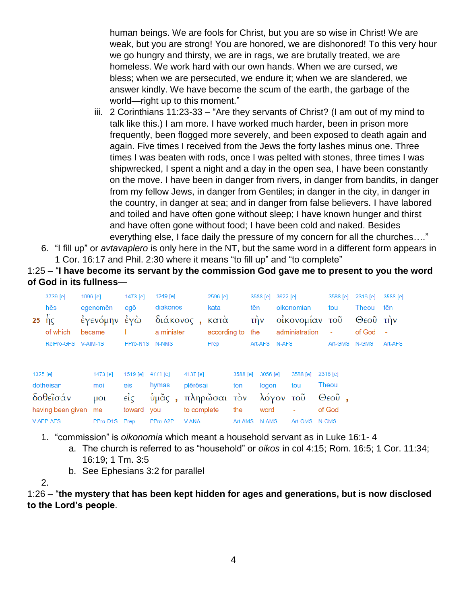human beings. We are fools for Christ, but you are so wise in Christ! We are weak, but you are strong! You are honored, we are dishonored! To this very hour we go hungry and thirsty, we are in rags, we are brutally treated, we are homeless. We work hard with our own hands. When we are cursed, we bless; when we are persecuted, we endure it; when we are slandered, we answer kindly. We have become the scum of the earth, the garbage of the world—right up to this moment."

- iii. 2 Corinthians 11:23-33 "Are they servants of Christ? (I am out of my mind to talk like this.) I am more. I have worked much harder, been in prison more frequently, been flogged more severely, and been exposed to death again and again. Five times I received from the Jews the forty lashes minus one. Three times I was beaten with rods, once I was pelted with stones, three times I was shipwrecked, I spent a night and a day in the open sea, I have been constantly on the move. I have been in danger from rivers, in danger from bandits, in danger from my fellow Jews, in danger from Gentiles; in danger in the city, in danger in the country, in danger at sea; and in danger from false believers. I have labored and toiled and have often gone without sleep; I have known hunger and thirst and have often gone without food; I have been cold and naked. Besides everything else, I face daily the pressure of my concern for all the churches…."
- 6. "I fill up" or *avtavaplero* is only here in the NT, but the same word in a different form appears in 1 Cor. 16:17 and Phil. 2:30 where it means "to fill up" and "to complete"

1:25 – "**I have become its servant by the commission God gave me to present to you the word of God in its fullness**—

| 25       | 3739 [e]<br>hēs<br>ής<br>of which<br>RelPro-GFS         | 1096 [e] | egenomēn<br>έγενόμην<br>became<br>$V-AIM-1S$  | 1473 [e]<br>egō<br>έγὼ<br>PPro-N1S                        | 1249 [e]<br>diakonos<br>διάκονος,<br>a minister<br>N-NMS |                                                     | 2596 [e]<br>kata<br>κατά<br>according to<br>Prep |                                   | 3588 [e]<br>tēn<br>$\overline{\text{t}}$ $\overline{\text{t}}$<br>the<br>Art-AFS | 3622 [e]<br>N-AFS                           | oikonomian<br>οίκονομίαν<br>administration          |                | 3588 [e]<br>tou<br>τοῦ<br>$\blacksquare$<br>Art-GMS | 2316 [e]<br>Theou<br>Θεοῦ την<br>of God<br>N-GMS | 3588 [e]<br>tēn<br>$\blacksquare$<br>Art-AFS |
|----------|---------------------------------------------------------|----------|-----------------------------------------------|-----------------------------------------------------------|----------------------------------------------------------|-----------------------------------------------------|--------------------------------------------------|-----------------------------------|----------------------------------------------------------------------------------|---------------------------------------------|-----------------------------------------------------|----------------|-----------------------------------------------------|--------------------------------------------------|----------------------------------------------|
| 1325 [e] | dotheisan<br>δοθεΐσάν<br>having been given<br>V-APP-AFS |          | 1473 [e]<br>moi<br>$\mu$ Ol<br>me<br>PPro-D1S | 1519 [e]<br>eis<br>$\vec{\epsilon}$<br>toward you<br>Prep | 4771 [e]<br>hymas<br>$\dot{\nu}$ μᾶς,<br>PPro-A2P        | 4137 [e]<br>plērōsai<br>to complete<br><b>V-ANA</b> | πληρώσαι τον                                     | 3588 [e]<br>ton<br>the<br>Art-AMS |                                                                                  | 3056 [e]<br>logon<br>λόγον<br>word<br>N-AMS | 3588 [e]<br>tou<br>τοῦ<br>$\blacksquare$<br>Art-GMS | Theou<br>N-GMS | 2316 [e]<br>$\Theta$ εοῦ,<br>of God                 |                                                  |                                              |

- 1. "commission" is *oikonomia* which meant a household servant as in Luke 16:1- 4
	- a. The church is referred to as "household" or *oikos* in col 4:15; Rom. 16:5; 1 Cor. 11:34; 16:19; 1 Tm. 3:5
	- b. See Ephesians 3:2 for parallel

2.

1:26 – "**the mystery that has been kept hidden for ages and generations, but is now disclosed to the Lord's people**.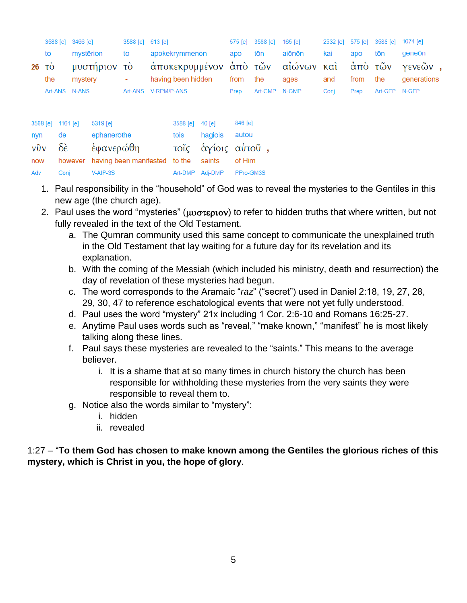|     | 3588 [e] 3466 [e] |           |             | 3588 [e] 613 [e] |                                   |          |         | 575 [e] 3588 [e] | 165 [e] |      |         | 2532 [e] 575 [e] 3588 [e] 1074 [e] |             |  |
|-----|-------------------|-----------|-------------|------------------|-----------------------------------|----------|---------|------------------|---------|------|---------|------------------------------------|-------------|--|
|     | to                | mystērion |             | to               | apokekrymmenon                    |          | apo     | tōn              | aiōnōn  | kai  | apo     | tōn                                | geneön      |  |
|     | $26$ TO           |           | μυστήριον   | <b>TO</b>        | άποκεκρυμμένον άπό τῶν αἰώνων καὶ |          |         |                  |         |      | άπὸ τῶν |                                    | γενεών,     |  |
|     | the               | mystery   |             | ٠                | having been hidden                |          | from    | the              | ages    | and  | from    | the                                | generations |  |
|     | Art-ANS N-ANS     |           |             |                  | Art-ANS V-RPM/P-ANS               |          | Prep    | Art-GMP N-GMP    |         | Conj | Prep    | Art-GFP N-GFP                      |             |  |
|     |                   |           |             |                  |                                   |          |         |                  |         |      |         |                                    |             |  |
|     | 3568 [e]          | 1161 [e]  | 5319 [e]    |                  | 3588 [e]                          | $40$ [e] | 846 [e] |                  |         |      |         |                                    |             |  |
| nyn | de                |           | ephanerōthē |                  | tois                              | hagiois  | autou   |                  |         |      |         |                                    |             |  |

|     |               | νῦν δὲ ἐφανερώθη                                        |  | τοῖς ἁγίοις αὐτοῦ,        |
|-----|---------------|---------------------------------------------------------|--|---------------------------|
|     |               | now however having been manifested to the saints of Him |  |                           |
| Adv | Coni V-AIP-3S |                                                         |  | Art-DMP Adj-DMP PPro-GM3S |

- 1. Paul responsibility in the "household" of God was to reveal the mysteries to the Gentiles in this new age (the church age).
- 2. Paul uses the word "mysteries" ( $\mu\nu\sigma\nu\epsilon\rho\iota\sigma\nu\rho$ ) to refer to hidden truths that where written, but not fully revealed in the text of the Old Testament.
	- a. The Qumran community used this same concept to communicate the unexplained truth in the Old Testament that lay waiting for a future day for its revelation and its explanation.
	- b. With the coming of the Messiah (which included his ministry, death and resurrection) the day of revelation of these mysteries had begun.
	- c. The word corresponds to the Aramaic "*raz*" ("secret") used in Daniel 2:18, 19, 27, 28, 29, 30, 47 to reference eschatological events that were not yet fully understood.
	- d. Paul uses the word "mystery" 21x including 1 Cor. 2:6-10 and Romans 16:25-27.
	- e. Anytime Paul uses words such as "reveal," "make known," "manifest" he is most likely talking along these lines.
	- f. Paul says these mysteries are revealed to the "saints." This means to the average believer.
		- i. It is a shame that at so many times in church history the church has been responsible for withholding these mysteries from the very saints they were responsible to reveal them to.
	- g. Notice also the words similar to "mystery":
		- i. hidden
		- ii. revealed

1:27 – "**To them God has chosen to make known among the Gentiles the glorious riches of this mystery, which is Christ in you, the hope of glory**.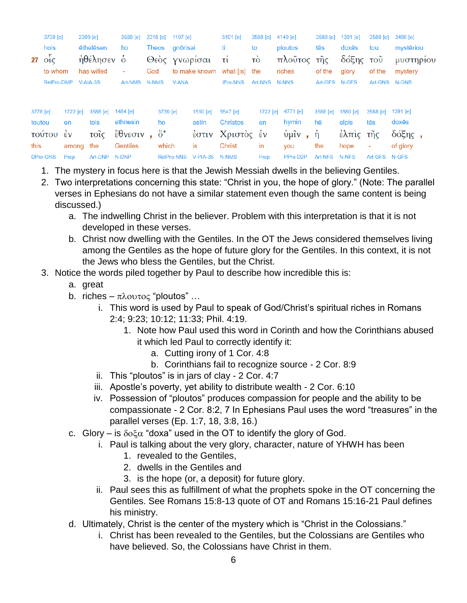|                    | 3739 [e]          |                | 2309 [e]         |          | 3588 [e]                                                    |       |                   | 2316 [e] 1107 [e] |                   | 5101 [e]                    | 3588 [e]       | 4149 [e]                    | 3588 [e]       | 1391 [e]          | 3588 [e]        | 3466 [e]          |  |
|--------------------|-------------------|----------------|------------------|----------|-------------------------------------------------------------|-------|-------------------|-------------------|-------------------|-----------------------------|----------------|-----------------------------|----------------|-------------------|-----------------|-------------------|--|
|                    | hois              |                | <b>ethelesen</b> |          | ho                                                          | Theos |                   | gnōrisai          |                   | ti.                         | to             | ploutos                     | tēs            | doxēs             | tou             | mystēriou         |  |
|                    | $27 \text{ o}$ ic |                | ήθέλησεν δ       |          |                                                             |       |                   |                   | Θεὸς γνωρίσαι     | $\tau_1$                    | τò             | πλοῦτος τῆς                 |                | δόξης             | τοῦ             | μυστηρίου         |  |
|                    | to whom           |                | has willed       |          | $\sim$                                                      | God   |                   |                   |                   | to make known what [is] the |                | riches                      | of the         | glory             | of the          | mystery           |  |
|                    | RelPro-DMP        |                | $V-AIA-3S$       |          | Art-NMS N-NMS                                               |       |                   | <b>V-ANA</b>      |                   | <b>IPro-NNS</b>             | Art-NNS N-NNS  |                             | Art-GFS N-GFS  |                   |                 | Art-GNS N-GNS     |  |
| 3778 [e]<br>toutou |                   | 1722 [e]<br>en | tois             | 3588 [e] | 1484 [e]<br>ethnesin                                        |       | 3739 [e]<br>ho    |                   | 1510 [e]<br>estin | 5547 [e]<br><b>Christos</b> | 1722 [e]<br>en | 4771 [e]<br>hymin           | 3588 [e]<br>hē | 1680 [e]<br>elpis | 3588 [e]<br>tēs | 1391 [e]<br>doxes |  |
|                    | τούτου έν         |                | τοΐς             |          | $\ddot{\epsilon} \theta$ νεσιν, $\ddot{\mathrm{o}}^{\star}$ |       |                   |                   |                   | έστιν Χριστός έν            |                | $\dot{\mathfrak{v}}$ μῖν, ἡ |                | έλπις τῆς         |                 | $δ$ όξης,         |  |
| this               |                   | among          | the              |          | Gentiles                                                    |       | which             |                   | is                | <b>Christ</b>               | in             | you                         | the            | hope              | ٠               | of glory          |  |
|                    | DPro-GNS          | Prep           |                  | Art-DNP  | N-DNP                                                       |       | <b>RelPro-NNS</b> |                   | V-PIA-3S          | N-NMS                       | Prep           | PPro-D2P                    | Art-NFS        | N-NFS             | Art-GFS N-GFS   |                   |  |

- 1. The mystery in focus here is that the Jewish Messiah dwells in the believing Gentiles.
- 2. Two interpretations concerning this state: "Christ in you, the hope of glory." (Note: The parallel verses in Ephesians do not have a similar statement even though the same content is being discussed.)
	- a. The indwelling Christ in the believer. Problem with this interpretation is that it is not developed in these verses.
	- b. Christ now dwelling with the Gentiles. In the OT the Jews considered themselves living among the Gentiles as the hope of future glory for the Gentiles. In this context, it is not the Jews who bless the Gentiles, but the Christ.
- 3. Notice the words piled together by Paul to describe how incredible this is:
	- a. great
	- b. riches  $\pi \lambda$ ovtoc "ploutos" ...
		- i. This word is used by Paul to speak of God/Christ's spiritual riches in Romans 2:4; 9:23; 10:12; 11:33; Phil. 4:19.
			- 1. Note how Paul used this word in Corinth and how the Corinthians abused it which led Paul to correctly identify it:
				- a. Cutting irony of 1 Cor. 4:8
				- b. Corinthians fail to recognize source 2 Cor. 8:9
		- ii. This "ploutos" is in jars of clay 2 Cor. 4:7
		- iii. Apostle's poverty, yet ability to distribute wealth 2 Cor. 6:10
		- iv. Possession of "ploutos" produces compassion for people and the ability to be compassionate - 2 Cor. 8:2, 7 In Ephesians Paul uses the word "treasures" in the parallel verses (Ep. 1:7, 18, 3:8, 16.)
	- c. Glory is  $\delta$ o $\zeta$  "doxa" used in the OT to identify the glory of God.
		- i. Paul is talking about the very glory, character, nature of YHWH has been
			- 1. revealed to the Gentiles,
			- 2. dwells in the Gentiles and
			- 3. is the hope (or, a deposit) for future glory.
		- ii. Paul sees this as fulfillment of what the prophets spoke in the OT concerning the Gentiles. See Romans 15:8-13 quote of OT and Romans 15:16-21 Paul defines his ministry.
	- d. Ultimately, Christ is the center of the mystery which is "Christ in the Colossians."
		- i. Christ has been revealed to the Gentiles, but the Colossians are Gentiles who have believed. So, the Colossians have Christ in them.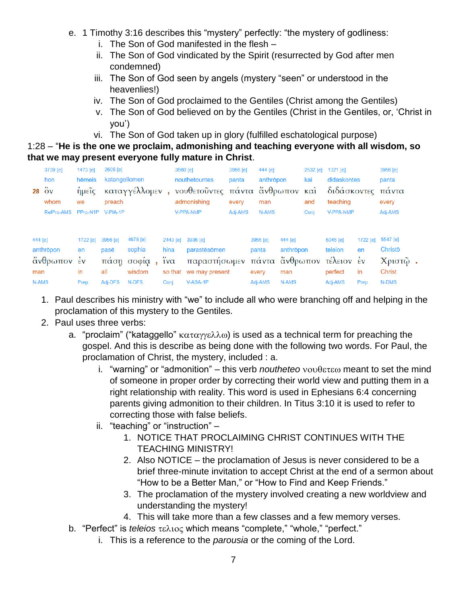- e. 1 Timothy 3:16 describes this "mystery" perfectly: "the mystery of godliness:
	- i. The Son of God manifested in the flesh –
	- ii. The Son of God vindicated by the Spirit (resurrected by God after men condemned)
	- iii. The Son of God seen by angels (mystery "seen" or understood in the heavenlies!)
	- iv. The Son of God proclaimed to the Gentiles (Christ among the Gentiles)
	- v. The Son of God believed on by the Gentiles (Christ in the Gentiles, or, 'Christ in you')
	- vi. The Son of God taken up in glory (fulfilled eschatological purpose)

1:28 – "**He is the one we proclaim, admonishing and teaching everyone with all wisdom, so that we may present everyone fully mature in Christ**.

| 28                      | 3739 [e]<br>hon<br>$\delta v$<br>whom | 1473 [e]<br>hēmeis<br>ήμεῖς<br>we | 2605 [e]<br>katangellomen<br>preach | καταγγέλλομεν,                                      |                                                    | 3560 [e]<br>nouthetountes<br>νουθετοῦντες πάντα ἄνθρωπον καὶ<br>admonishing | 3956 [e]<br>panta<br>every | 444 [e]<br>anthropon<br>man                    |                                      | 2532 [e]<br>kai<br>and | 1321 [e]<br>didaskontes<br>διδάσκοντες πάντα<br>teaching         |                              | 3956 [e]<br>panta<br>every                              |
|-------------------------|---------------------------------------|-----------------------------------|-------------------------------------|-----------------------------------------------------|----------------------------------------------------|-----------------------------------------------------------------------------|----------------------------|------------------------------------------------|--------------------------------------|------------------------|------------------------------------------------------------------|------------------------------|---------------------------------------------------------|
|                         | RelPro-AMS                            | PPro-N1P                          | $V-PIA-1P$                          |                                                     |                                                    | <b>V-PPA-NMP</b>                                                            | Adj-AMS                    | N-AMS                                          |                                      | Conj                   | <b>V-PPA-NMP</b>                                                 |                              | Adj-AMS                                                 |
| 444 [e]<br>man<br>N-AMS | anthropon<br>άνθρωπον                 | 1722 [e]<br>en<br>έv<br>in        | 3956 [e]<br>pasē<br>all<br>Adj-DFS  | 4678 [e]<br>sophia<br>παση σοφία<br>wisdom<br>N-DFS | 2443 [e]<br>hina<br>$\mu\alpha$<br>so that<br>Conj | 3936 [e]<br>parastēsōmen<br>παραστήσωμεν<br>we may present<br>V-ASA-1P      |                            | 3956 [e]<br>panta<br>πάντα<br>every<br>Adj-AMS | 444 [e]<br>anthropon<br>man<br>N-AMS |                        | 5046 [e]<br>teleion<br>άνθρωπον τέλειον έν<br>perfect<br>Adj-AMS | 1722 [e]<br>en<br>in<br>Prep | 5547 [e]<br>Christo<br>Χριστῷ<br><b>Christ</b><br>N-DMS |
|                         |                                       | Prep                              |                                     |                                                     |                                                    |                                                                             |                            |                                                |                                      |                        |                                                                  |                              |                                                         |

- 1. Paul describes his ministry with "we" to include all who were branching off and helping in the proclamation of this mystery to the Gentiles.
- 2. Paul uses three verbs:
	- a. "proclaim" ("kataggello"  $\kappa \alpha \tau \alpha \gamma \kappa \lambda \omega$ ) is used as a technical term for preaching the gospel. And this is describe as being done with the following two words. For Paul, the proclamation of Christ, the mystery, included : a.
		- i. "warning" or "admonition" this verb *noutheteo*  $v \circ \theta$ <sub>e</sub>reso meant to set the mind of someone in proper order by correcting their world view and putting them in a right relationship with reality. This word is used in Ephesians 6:4 concerning parents giving admonition to their children. In Titus 3:10 it is used to refer to correcting those with false beliefs.
		- ii. "teaching" or "instruction"
			- 1. NOTICE THAT PROCLAIMING CHRIST CONTINUES WITH THE TEACHING MINISTRY!
			- 2. Also NOTICE the proclamation of Jesus is never considered to be a brief three-minute invitation to accept Christ at the end of a sermon about "How to be a Better Man," or "How to Find and Keep Friends."
			- 3. The proclamation of the mystery involved creating a new worldview and understanding the mystery!
			- 4. This will take more than a few classes and a few memory verses.
	- b. "Perfect" is *teleios* τελιος which means "complete," "whole," "perfect."
		- i. This is a reference to the *parousia* or the coming of the Lord.